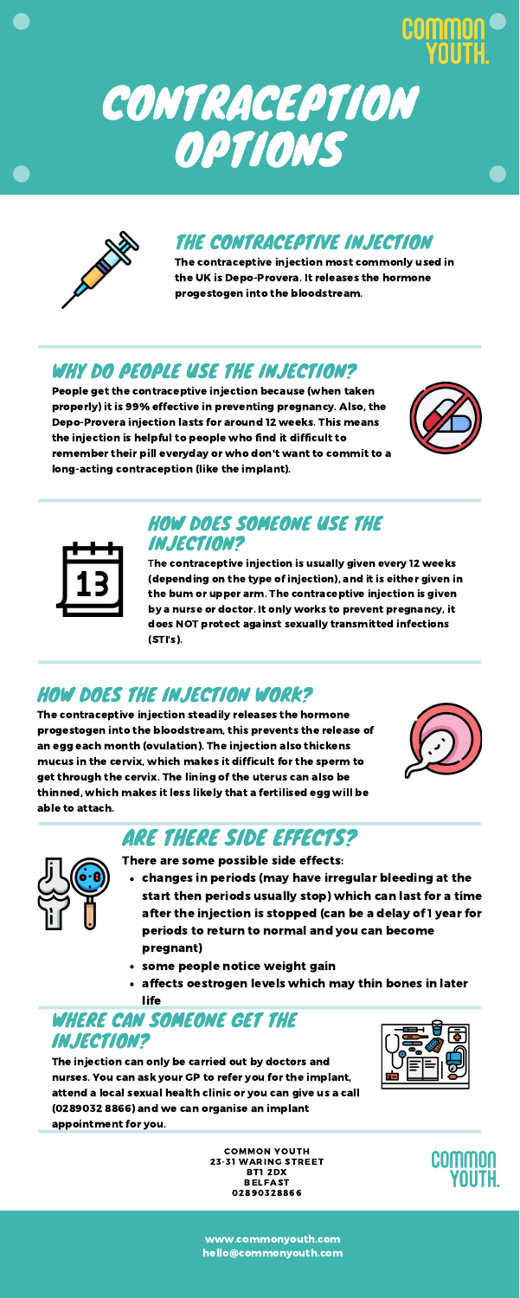





## THE CONTRACEPTIVE INJECTION

The contraceptive injection most commonly used in the UK is Depo-Provera. It releases the hormone progestogen into the bloodstream.

## WHY DO PEOPLE USE THE INJECTION?

People get the contraceptive injection because (when taken properly) it is 99% effective in preventing pregnancy. Also, the Depo-Provera injection lasts for around 12 weeks. This means the injection is helpful to people who find it difficult to remember their pill everyday or who don't want to commit to a long-acting contraception (like the implant).





#### HOW DOES SOMEONE USE THE INJECTION?

The contraceptive injection is usually given every 12 weeks (depending on the type of injection), and it is either given in the bum or upper arm. The contraceptive injection is given by a nurse or doctor. It only works to prevent pregnancy, it does NOT protect against sexually transmitted infections (STI's).

# HOW DOES THE INJECTION WORK?

The contraceptive injection steadily releases the hormone progestogen into the bloodstream, this prevents the release of an egg each month (ovulation). The injection also thickens mucus in the cervix, which makes it difficult for the sperm to get through the cervix. The lining of the uterus can also be



thinned, which makes it less likely that a fertilised egg will be able to attach.

## ARE THERE SIDE EFFECTS?



- changes in periods (may have irregular bleeding at the start then periods usually stop) which can last for a time after the injection is stopped (can be a delay of 1 year for periods to return to normal and you can become pregnant)
- some people notice weight gain
- affects oestrogen levels which may thin bones in later life

There are some possible side effects:

#### WHERE CAN SOMEONE GET THE INJECTION?

The injection can only be carried out by doctors and nurses. You can ask your GP to refer you for the implant, attend a local sexual health clinic or you can give us a call (0289032 8866) and we can organise an implant appointment for you.



COMMON YOUTH 23-31 WARING STREET BT1 2DX BELFAST 02890328866

**CHUMMINI** 

www.commonyouth.com hello@commonyouth.com